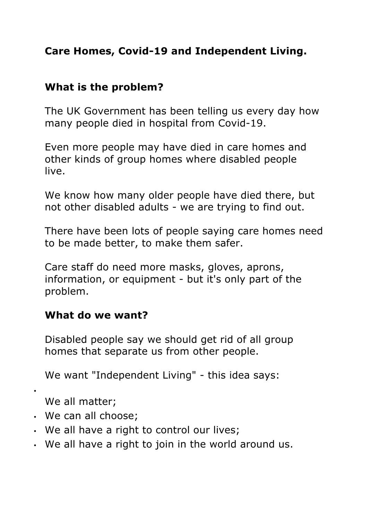## **Care Homes, Covid-19 and Independent Living.**

## **What is the problem?**

The UK Government has been telling us every day how many people died in hospital from Covid-19.

Even more people may have died in care homes and other kinds of group homes where disabled people live.

We know how many older people have died there, but not other disabled adults - we are trying to find out.

There have been lots of people saying care homes need to be made better, to make them safer.

Care staff do need more masks, gloves, aprons, information, or equipment - but it's only part of the problem.

## **What do we want?**

Disabled people say we should get rid of all group homes that separate us from other people.

We want "Independent Living" - this idea says:

•

We all matter;

- We can all choose;
- We all have a right to control our lives;
- We all have a right to join in the world around us.